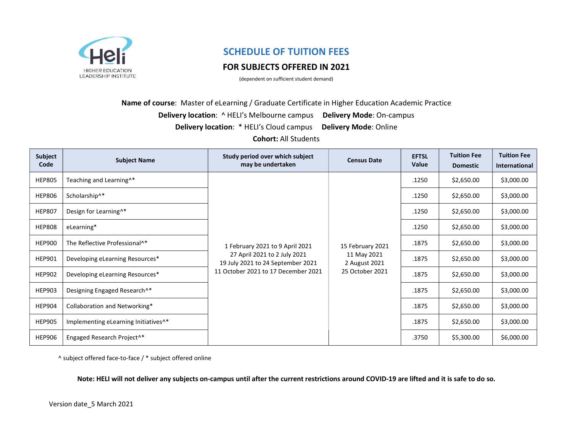

# SCHEDULE OF TUITION FEES

## FOR SUBJECTS OFFERED IN 2021

(dependent on sufficient student demand)

Name of course: Master of eLearning / Graduate Certificate in Higher Education Academic Practice

Delivery location: ^ HELI's Melbourne campus Delivery Mode: On-campus

Delivery location: \* HELI's Cloud campus Delivery Mode: Online

Cohort: All Students

| Subject<br>Code | <b>Subject Name</b>                              | Study period over which subject<br>may be undertaken                                                                                        | <b>Census Date</b>                                                  | <b>EFTSL</b><br>Value | <b>Tuition Fee</b><br><b>Domestic</b> | <b>Tuition Fee</b><br><b>International</b> |
|-----------------|--------------------------------------------------|---------------------------------------------------------------------------------------------------------------------------------------------|---------------------------------------------------------------------|-----------------------|---------------------------------------|--------------------------------------------|
| <b>HEP805</b>   | Teaching and Learning <sup>^*</sup>              | 1 February 2021 to 9 April 2021<br>27 April 2021 to 2 July 2021<br>19 July 2021 to 24 September 2021<br>11 October 2021 to 17 December 2021 | 15 February 2021<br>11 May 2021<br>2 August 2021<br>25 October 2021 | .1250                 | \$2,650.00                            | \$3,000.00                                 |
| <b>HEP806</b>   | Scholarship^*                                    |                                                                                                                                             |                                                                     | .1250                 | \$2,650.00                            | \$3,000.00                                 |
| <b>HEP807</b>   | Design for Learning <sup>^*</sup>                |                                                                                                                                             |                                                                     | .1250                 | \$2,650.00                            | \$3,000.00                                 |
| <b>HEP808</b>   | eLearning*                                       |                                                                                                                                             |                                                                     | .1250                 | \$2,650.00                            | \$3,000.00                                 |
| <b>HEP900</b>   | The Reflective Professional <sup>^*</sup>        |                                                                                                                                             |                                                                     | .1875                 | \$2,650.00                            | \$3,000.00                                 |
| <b>HEP901</b>   | Developing eLearning Resources*                  |                                                                                                                                             |                                                                     | .1875                 | \$2,650.00                            | \$3,000.00                                 |
| <b>HEP902</b>   | Developing eLearning Resources*                  |                                                                                                                                             |                                                                     | .1875                 | \$2,650.00                            | \$3,000.00                                 |
| <b>HEP903</b>   | Designing Engaged Research^*                     |                                                                                                                                             |                                                                     | .1875                 | \$2,650.00                            | \$3,000.00                                 |
| <b>HEP904</b>   | Collaboration and Networking*                    |                                                                                                                                             |                                                                     | .1875                 | \$2,650.00                            | \$3,000.00                                 |
| <b>HEP905</b>   | Implementing eLearning Initiatives <sup>^*</sup> |                                                                                                                                             |                                                                     | .1875                 | \$2,650.00                            | \$3,000.00                                 |
| <b>HEP906</b>   | Engaged Research Project <sup>^*</sup>           |                                                                                                                                             |                                                                     | .3750                 | \$5,300.00                            | \$6,000.00                                 |

^ subject offered face-to-face / \* subject offered online

Note: HELI will not deliver any subjects on-campus until after the current restrictions around COVID-19 are lifted and it is safe to do so.